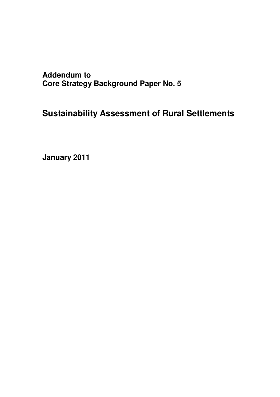**Addendum to Core Strategy Background Paper No. 5**

**Sustainability Assessment of Rural Settlements**

**January 2011**